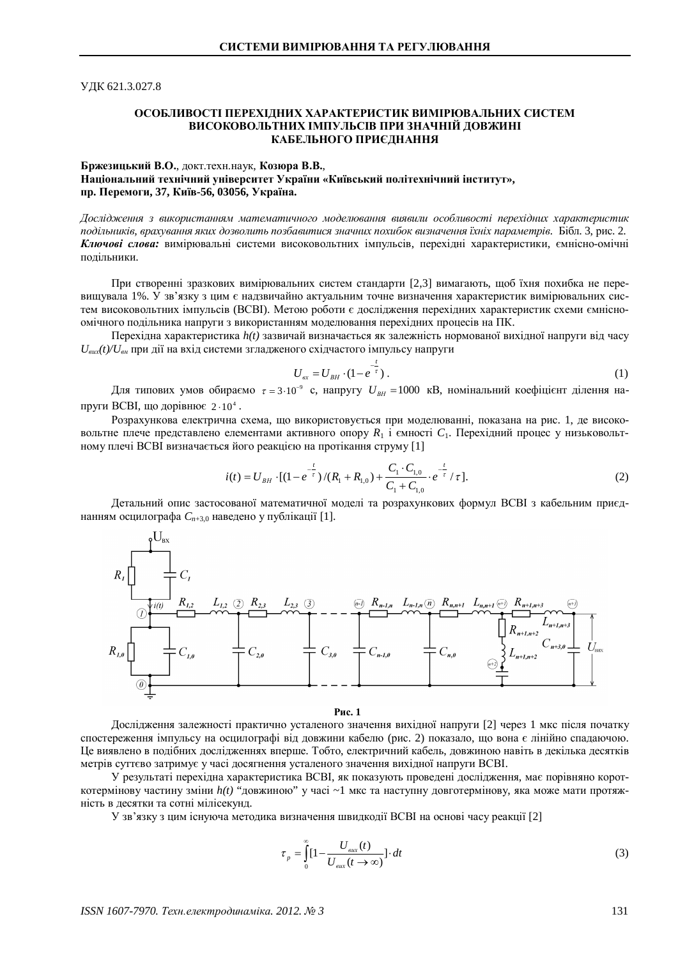ɍȾɄ 621.3.027.8

## ОСОБЛИВОСТІ ПЕРЕХІЛНИХ ХАРАКТЕРИСТИК ВИМІРЮВАЛЬНИХ СИСТЕМ ВИСОКОВОЛЬТНИХ ІМПУЛЬСІВ ПРИ ЗНАЧНІЙ ДОВЖИНІ КАБЕЛЬНОГО ПРИЄДНАННЯ

## **Бржезицький В.О.**, докт. техн. наук, Козюра В.В., Національний технічний університет України «Київський політехнічний інститут», пр. Перемоги, 37, Київ-56, 03056, Україна.

Дослідження з використанням математичного моделювання виявили особливості перехідних характеристик лодільників, врахування яких дозволить позбавитися значних похибок визначення їхніх параметрів. Бібл. 3, рис. 2. Ключові слова: вимірювальні системи високовольтних імпульсів, перехілні характеристики, ємнісно-омічні подільники.

При створенні зразкових вимірювальних систем стандарти [2,3] вимагають, щоб їхня похибка не перевищувала 1%. У зв'язку з цим є надзвичайно актуальним точне визначення характеристик вимірювальних систем високовольтних імпульсів (ВСВІ). Метою роботи є дослідження перехідних характеристик схеми ємнісноомічного подільника напруги з використанням моделювання перехідних процесів на ПК.

Перехідна характеристика *h(t)* зазвичай визначається як залежність нормованої вихідної напруги від часу  $U_{\text{gux}}(t)/U_{\text{gH}}$  при дії на вхід системи згладженого східчастого імпульсу напруги

$$
U_{\text{ex}} = U_{\text{BH}} \cdot (1 - e^{-\frac{t}{\tau}}). \tag{1}
$$

Для типових умов обираємо  $\tau =$ 3·10<sup>-</sup>° с, напругу  $U_{\text{BH}} =$ 1000 кВ, номінальний коефіцієнт ділення напруги BCBI, що дорівнює 2·10<sup>4</sup>.

Розрахункова електрична схема, що використовується при моделюванні, показана на рис. 1, де високовольтне плече представлено елементами активного опору  $R_1$  і ємності  $C_1$ . Перехідний процес у низьковольтному плечі ВСВІ визначається його реакцією на протікання струму [1]

$$
i(t) = U_{BH} \cdot [(1 - e^{-\frac{t}{\tau}})/(R_1 + R_{1,0}) + \frac{C_1 \cdot C_{1,0}}{C_1 + C_{1,0}} \cdot e^{-\frac{t}{\tau}} / \tau].
$$
\n(2)

Детальний опис застосованої математичної моделі та розрахункових формул ВСВІ з кабельним приєднанням осцилографа  $C_{n+3,0}$  наведено у публікації [1].



Pис. 1

Дослідження залежності практично усталеного значення вихідної напруги [2] через 1 мкс після початку спостереження імпульсу на осцилографі віл ловжини кабелю (рис. 2) показало, що вона є лінійно спалаючою, Це виявлено в подібних дослідженнях вперше. Тобто, електричний кабель, довжиною навіть в декілька десятків метрів суттєво затримує у часі досягнення усталеного значення вихідної напруги ВСВІ.

У результаті перехідна характеристика ВСВІ, як показують проведені дослідження, має порівняно короткотермінову частину зміни h(t) "довжиною" у часі ~1 мкс та наступну довготермінову, яка може мати протяжність в десятки та сотні мілісекунд.

У зв'язку з цим існуюча методика визначення швидколії ВСВІ на основі часу реакції [2]

$$
\tau_{p} = \int_{0}^{\infty} [1 - \frac{U_{\text{aux}}(t)}{U_{\text{aux}}(t \to \infty)}] \cdot dt
$$
\n(3)